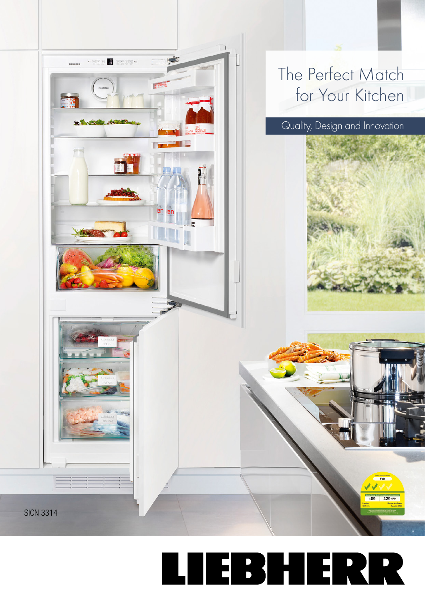

## EBHERR  $\overline{\phantom{0}}$